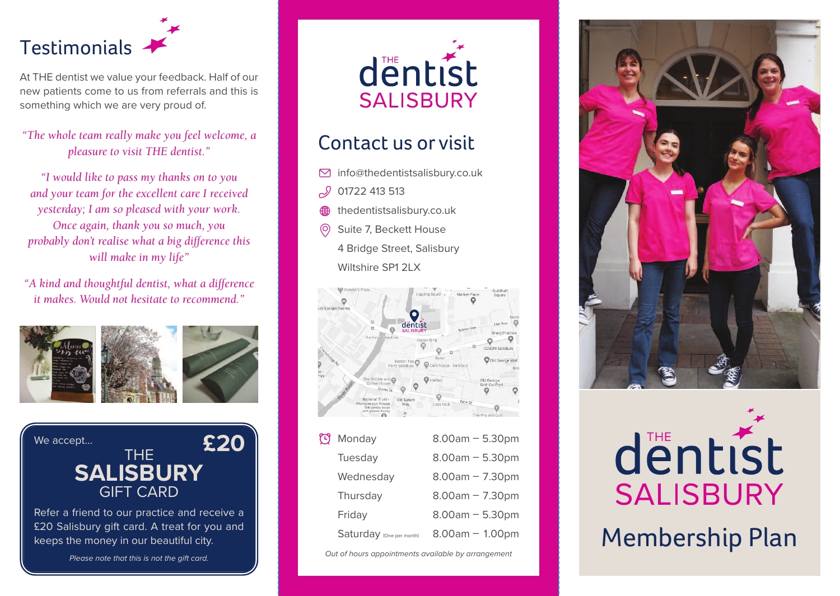

at The dentist we value your feedback. half of our new patients come to us from referrals and this is something which we are very proud of.

#### *"The whole team really make you feel welcome, a pleasure to visit THE dentist."*

*"I would like to pass my thanks on to you and your team for the excellent care I received yesterday; I am so pleased with your work. Once again, thank you so much, you probably don't realise what a big difference this will make in my life"*

*"A kind and thoughtful dentist, what a difference it makes. Would not hesitate to recommend."*





Refer a friend to our practice and receive a £20 Salisbury gift card. A treat for you and keeps the money in our beautiful city.

*Please note that this is not the gift card.*



### Contact us or visit

- $\triangleright$  info@thedentistsalisbury.co.uk
- $\mathcal{S}$ 01722 413 513
- thedentistsalisbury.co.uk ∰
- $\odot$ Suite 7, Beckett house 4 Bridge Street, Salisbury Wiltshire SP1 2LX



| 7 | Monday                   | $8.00am - 5.30pm$ |
|---|--------------------------|-------------------|
|   | Tuesday                  | $8.00am - 5.30pm$ |
|   | Wednesday                | $8.00am - 7.30pm$ |
|   | Thursday                 | $8.00am - 7.30pm$ |
|   | Friday                   | $8.00am - 5.30pm$ |
|   | Saturday (One per month) | $8.00am - 1.00pm$ |
|   |                          |                   |

*Out of hours appointments available by arrangement*



# dentist **SALISBURY** Membership Plan